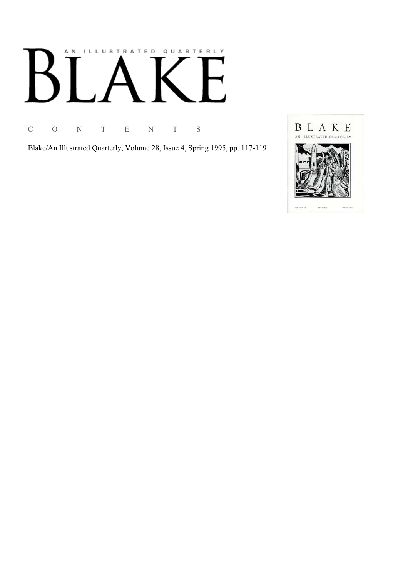# AN ILLUSTRATED QUARTERLY

C O N T E N T S

Blake/An Illustrated Quarterly, Volume 28, Issue 4, Spring 1995, pp. 117-119

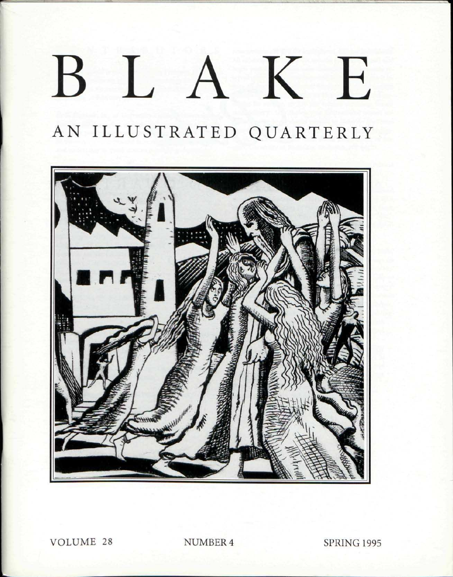## $\left| \right|$ KE  $\mathsf{B}$

AN ILLUSTRATED QUARTERLY



**VOLUME 28** 

NUMBER 4

**SPRING 1995**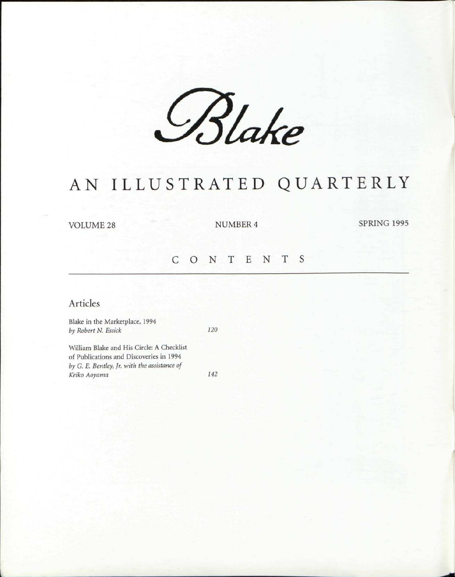*£%Ue* 

### AN ILLUSTRATED QUARTERLY

VOLUME 28 NUMBER 4 SPRING 1995

#### CONTENT S

#### Articles

Blake in the Marketplace, 1994 *by Robert N. Essick 120* 

William Blake and His Circle: A Checklist of Publications and Discoveries in 1994 *by G. E. Bentley, Jr. with the assistance of Keiko Aoyama 142*